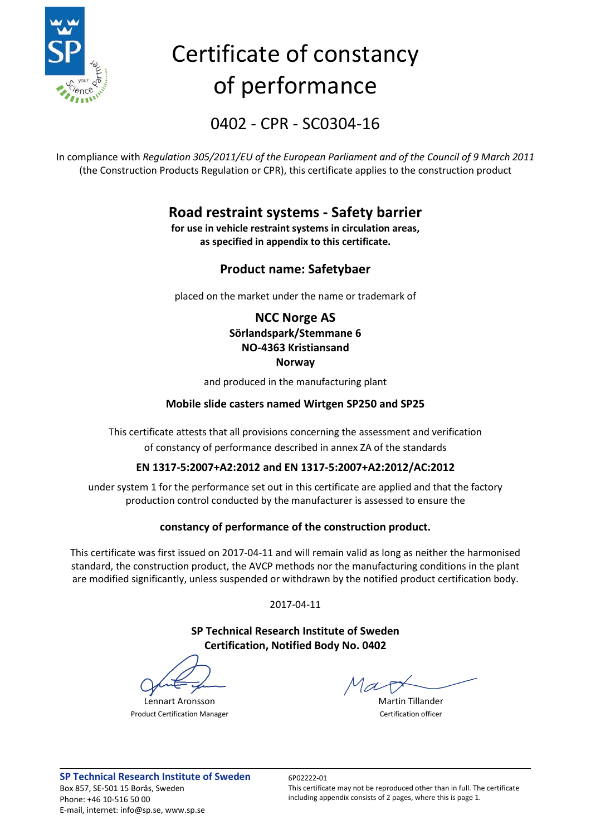

# Certificate of constancy of performance

0402 - CPR - SC0304-16

In compliance with *Regulation 305/2011/EU of the European Parliament and of the Council of 9 March 2011* (the Construction Products Regulation or CPR), this certificate applies to the construction product

### **Road restraint systems - Safety barrier**

**for use in vehicle restraint systems in circulation areas, as specified in appendix to this certificate.**

#### **Product name: Safetybaer**

placed on the market under the name or trademark of

#### **NCC Norge AS Sörlandspark/Stemmane 6 NO-4363 Kristiansand Norway**

and produced in the manufacturing plant

#### **Mobile slide casters named Wirtgen SP250 and SP25**

This certificate attests that all provisions concerning the assessment and verification of constancy of performance described in annex ZA of the standards

#### **EN 1317-5:2007+A2:2012 and EN 1317-5:2007+A2:2012/AC:2012**

under system 1 for the performance set out in this certificate are applied and that the factory production control conducted by the manufacturer is assessed to ensure the

#### **constancy of performance of the construction product.**

This certificate was first issued on 2017-04-11 and will remain valid as long as neither the harmonised standard, the construction product, the AVCP methods nor the manufacturing conditions in the plant are modified significantly, unless suspended or withdrawn by the notified product certification body.

2017-04-11

**SP Technical Research Institute of Sweden Certification, Notified Body No. 0402**

Lennart Aronsson Martin Tillander Product Certification Manager Certification officer